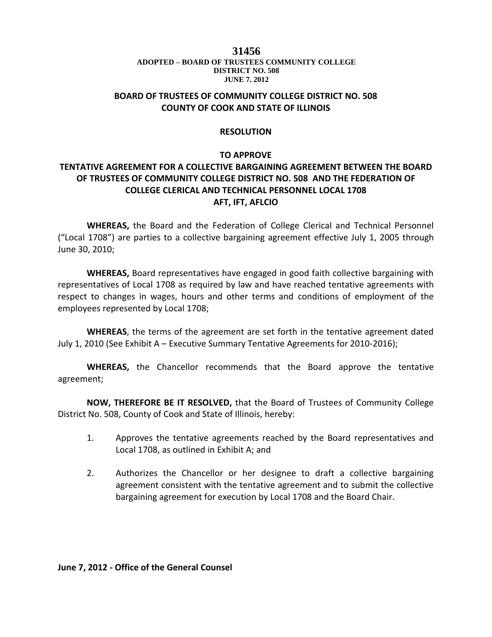#### 1.01 **DISTRICT NO. 508 31456 ADOPTED – BOARD OF TRUSTEES COMMUNITY COLLEGE JUNE 7, 2012**

### **BOARD OF TRUSTEES OF COMMUNITY COLLEGE DISTRICT NO. 508 COUNTY OF COOK AND STATE OF ILLINOIS**

#### **RESOLUTION**

### **TO APPROVE**

## **TENTATIVE AGREEMENT FOR A COLLECTIVE BARGAINING AGREEMENT BETWEEN THE BOARD OF TRUSTEES OF COMMUNITY COLLEGE DISTRICT NO. 508 AND THE FEDERATION OF COLLEGE CLERICAL AND TECHNICAL PERSONNEL LOCAL 1708 AFT, IFT, AFLCIO**

**WHEREAS,** the Board and the Federation of College Clerical and Technical Personnel ("Local 1708") are parties to a collective bargaining agreement effective July 1, 2005 through June 30, 2010;

**WHEREAS,** Board representatives have engaged in good faith collective bargaining with representatives of Local 1708 as required by law and have reached tentative agreements with respect to changes in wages, hours and other terms and conditions of employment of the employees represented by Local 1708;

**WHEREAS**, the terms of the agreement are set forth in the tentative agreement dated July 1, 2010 (See Exhibit A – Executive Summary Tentative Agreements for 2010-2016);

**WHEREAS,** the Chancellor recommends that the Board approve the tentative agreement;

**NOW, THEREFORE BE IT RESOLVED,** that the Board of Trustees of Community College District No. 508, County of Cook and State of Illinois, hereby:

- 1. Approves the tentative agreements reached by the Board representatives and Local 1708, as outlined in Exhibit A; and
- 2. Authorizes the Chancellor or her designee to draft a collective bargaining agreement consistent with the tentative agreement and to submit the collective bargaining agreement for execution by Local 1708 and the Board Chair.

**June 7, 2012 - Office of the General Counsel**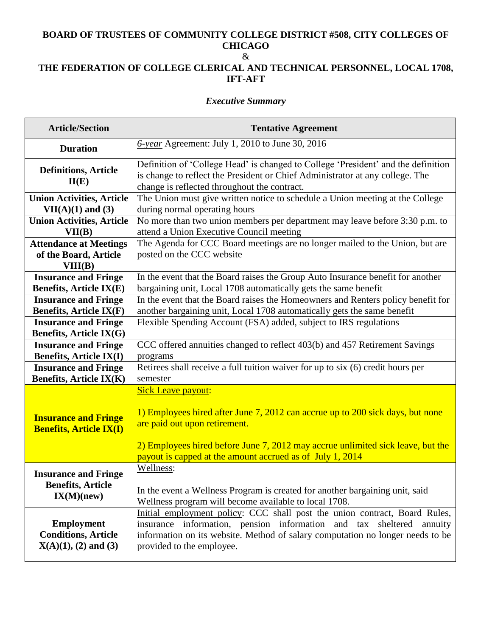# **BOARD OF TRUSTEES OF COMMUNITY COLLEGE DISTRICT #508, CITY COLLEGES OF CHICAGO**

### &

## **THE FEDERATION OF COLLEGE CLERICAL AND TECHNICAL PERSONNEL, LOCAL 1708, IFT-AFT**

### *Executive Summary*

| <b>Article/Section</b>                                                      | <b>Tentative Agreement</b>                                                                                                                                                                                                                                                                   |  |  |  |
|-----------------------------------------------------------------------------|----------------------------------------------------------------------------------------------------------------------------------------------------------------------------------------------------------------------------------------------------------------------------------------------|--|--|--|
| <b>Duration</b>                                                             | $6$ -year Agreement: July 1, 2010 to June 30, 2016                                                                                                                                                                                                                                           |  |  |  |
| <b>Definitions, Article</b><br>II(E)                                        | Definition of 'College Head' is changed to College 'President' and the definition<br>is change to reflect the President or Chief Administrator at any college. The<br>change is reflected throughout the contract.                                                                           |  |  |  |
| <b>Union Activities, Article</b>                                            | The Union must give written notice to schedule a Union meeting at the College                                                                                                                                                                                                                |  |  |  |
| $VII(A)(1)$ and $(3)$                                                       | during normal operating hours                                                                                                                                                                                                                                                                |  |  |  |
| <b>Union Activities, Article</b>                                            | No more than two union members per department may leave before 3:30 p.m. to                                                                                                                                                                                                                  |  |  |  |
| VII(B)                                                                      | attend a Union Executive Council meeting                                                                                                                                                                                                                                                     |  |  |  |
| <b>Attendance at Meetings</b><br>of the Board, Article<br>VIII(B)           | The Agenda for CCC Board meetings are no longer mailed to the Union, but are<br>posted on the CCC website                                                                                                                                                                                    |  |  |  |
| <b>Insurance and Fringe</b>                                                 | In the event that the Board raises the Group Auto Insurance benefit for another                                                                                                                                                                                                              |  |  |  |
| <b>Benefits, Article IX(E)</b>                                              | bargaining unit, Local 1708 automatically gets the same benefit                                                                                                                                                                                                                              |  |  |  |
| <b>Insurance and Fringe</b>                                                 | In the event that the Board raises the Homeowners and Renters policy benefit for                                                                                                                                                                                                             |  |  |  |
| <b>Benefits, Article IX(F)</b>                                              | another bargaining unit, Local 1708 automatically gets the same benefit                                                                                                                                                                                                                      |  |  |  |
| <b>Insurance and Fringe</b><br><b>Benefits, Article IX(G)</b>               | Flexible Spending Account (FSA) added, subject to IRS regulations                                                                                                                                                                                                                            |  |  |  |
| <b>Insurance and Fringe</b>                                                 | CCC offered annuities changed to reflect 403(b) and 457 Retirement Savings                                                                                                                                                                                                                   |  |  |  |
| <b>Benefits, Article IX(I)</b>                                              | programs                                                                                                                                                                                                                                                                                     |  |  |  |
| <b>Insurance and Fringe</b>                                                 | Retirees shall receive a full tuition waiver for up to six (6) credit hours per                                                                                                                                                                                                              |  |  |  |
| <b>Benefits, Article IX(K)</b>                                              | semester                                                                                                                                                                                                                                                                                     |  |  |  |
| <b>Insurance and Fringe</b><br><b>Benefits, Article IX(I)</b>               | <b>Sick Leave payout:</b><br>1) Employees hired after June 7, 2012 can accrue up to 200 sick days, but none<br>are paid out upon retirement.<br>2) Employees hired before June 7, 2012 may accrue unlimited sick leave, but the<br>payout is capped at the amount accrued as of July 1, 2014 |  |  |  |
| <b>Insurance and Fringe</b>                                                 | Wellness:                                                                                                                                                                                                                                                                                    |  |  |  |
| <b>Benefits, Article</b>                                                    | In the event a Wellness Program is created for another bargaining unit, said                                                                                                                                                                                                                 |  |  |  |
| IX(M)(new)                                                                  | Wellness program will become available to local 1708.                                                                                                                                                                                                                                        |  |  |  |
| <b>Employment</b><br><b>Conditions, Article</b><br>$X(A)(1), (2)$ and $(3)$ | Initial employment policy: CCC shall post the union contract, Board Rules,<br>insurance information, pension information and tax sheltered annuity<br>information on its website. Method of salary computation no longer needs to be<br>provided to the employee.                            |  |  |  |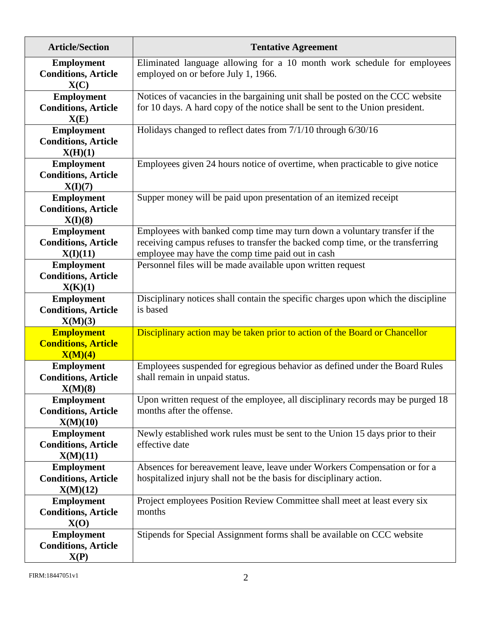| <b>Article/Section</b>                                      | <b>Tentative Agreement</b>                                                                                                                                                                                      |  |  |  |
|-------------------------------------------------------------|-----------------------------------------------------------------------------------------------------------------------------------------------------------------------------------------------------------------|--|--|--|
| <b>Employment</b><br><b>Conditions, Article</b><br>X(C)     | Eliminated language allowing for a 10 month work schedule for employees<br>employed on or before July 1, 1966.                                                                                                  |  |  |  |
| <b>Employment</b><br><b>Conditions, Article</b><br>X(E)     | Notices of vacancies in the bargaining unit shall be posted on the CCC website<br>for 10 days. A hard copy of the notice shall be sent to the Union president.                                                  |  |  |  |
| <b>Employment</b><br><b>Conditions, Article</b><br>X(H)(1)  | Holidays changed to reflect dates from 7/1/10 through 6/30/16                                                                                                                                                   |  |  |  |
| <b>Employment</b><br><b>Conditions, Article</b><br>X(I)(7)  | Employees given 24 hours notice of overtime, when practicable to give notice                                                                                                                                    |  |  |  |
| <b>Employment</b><br><b>Conditions, Article</b><br>X(I)(8)  | Supper money will be paid upon presentation of an itemized receipt                                                                                                                                              |  |  |  |
| <b>Employment</b><br><b>Conditions, Article</b><br>X(I)(11) | Employees with banked comp time may turn down a voluntary transfer if the<br>receiving campus refuses to transfer the backed comp time, or the transferring<br>employee may have the comp time paid out in cash |  |  |  |
| <b>Employment</b><br><b>Conditions, Article</b><br>X(K)(1)  | Personnel files will be made available upon written request                                                                                                                                                     |  |  |  |
| <b>Employment</b><br><b>Conditions, Article</b><br>X(M)(3)  | Disciplinary notices shall contain the specific charges upon which the discipline<br>is based                                                                                                                   |  |  |  |
| <b>Employment</b><br><b>Conditions, Article</b><br>X(M)(4)  | Disciplinary action may be taken prior to action of the Board or Chancellor                                                                                                                                     |  |  |  |
| <b>Employment</b><br><b>Conditions, Article</b><br>X(M)(8)  | Employees suspended for egregious behavior as defined under the Board Rules<br>shall remain in unpaid status.                                                                                                   |  |  |  |
| Employment<br><b>Conditions, Article</b><br>X(M)(10)        | Upon written request of the employee, all disciplinary records may be purged 18<br>months after the offense.                                                                                                    |  |  |  |
| <b>Employment</b><br><b>Conditions, Article</b><br>X(M)(11) | Newly established work rules must be sent to the Union 15 days prior to their<br>effective date                                                                                                                 |  |  |  |
| <b>Employment</b><br><b>Conditions, Article</b><br>X(M)(12) | Absences for bereavement leave, leave under Workers Compensation or for a<br>hospitalized injury shall not be the basis for disciplinary action.                                                                |  |  |  |
| <b>Employment</b><br><b>Conditions, Article</b><br>X(O)     | Project employees Position Review Committee shall meet at least every six<br>months                                                                                                                             |  |  |  |
| <b>Employment</b><br><b>Conditions, Article</b><br>X(P)     | Stipends for Special Assignment forms shall be available on CCC website                                                                                                                                         |  |  |  |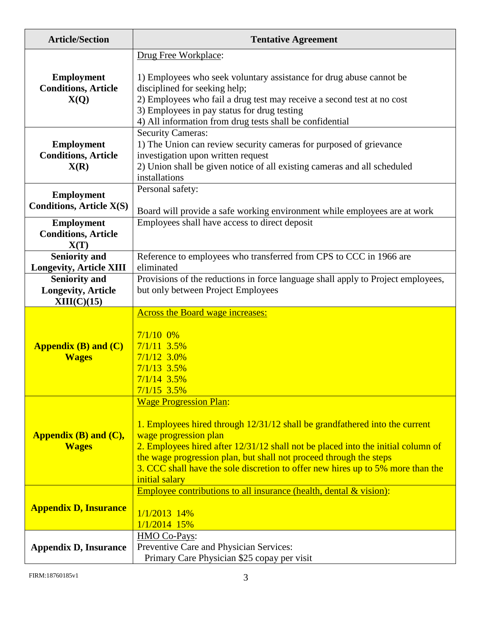| <b>Article/Section</b>                                           | <b>Tentative Agreement</b>                                                                                                                                                                                                                                                                      |  |  |  |  |
|------------------------------------------------------------------|-------------------------------------------------------------------------------------------------------------------------------------------------------------------------------------------------------------------------------------------------------------------------------------------------|--|--|--|--|
|                                                                  | Drug Free Workplace:                                                                                                                                                                                                                                                                            |  |  |  |  |
| <b>Employment</b><br><b>Conditions, Article</b><br>X(Q)          | 1) Employees who seek voluntary assistance for drug abuse cannot be<br>disciplined for seeking help;<br>2) Employees who fail a drug test may receive a second test at no cost<br>3) Employees in pay status for drug testing<br>4) All information from drug tests shall be confidential       |  |  |  |  |
| <b>Employment</b><br><b>Conditions, Article</b><br>X(R)          | <b>Security Cameras:</b><br>1) The Union can review security cameras for purposed of grievance<br>investigation upon written request<br>2) Union shall be given notice of all existing cameras and all scheduled<br>installations                                                               |  |  |  |  |
| <b>Employment</b>                                                | Personal safety:                                                                                                                                                                                                                                                                                |  |  |  |  |
| <b>Conditions, Article X(S)</b>                                  | Board will provide a safe working environment while employees are at work                                                                                                                                                                                                                       |  |  |  |  |
| <b>Employment</b><br><b>Conditions, Article</b><br>X(T)          | Employees shall have access to direct deposit                                                                                                                                                                                                                                                   |  |  |  |  |
| <b>Seniority and</b>                                             | Reference to employees who transferred from CPS to CCC in 1966 are                                                                                                                                                                                                                              |  |  |  |  |
| <b>Longevity, Article XIII</b>                                   | eliminated                                                                                                                                                                                                                                                                                      |  |  |  |  |
| <b>Seniority and</b><br><b>Longevity, Article</b><br>XIII(C)(15) | Provisions of the reductions in force language shall apply to Project employees,<br>but only between Project Employees                                                                                                                                                                          |  |  |  |  |
|                                                                  | <b>Across the Board wage increases:</b>                                                                                                                                                                                                                                                         |  |  |  |  |
| <b>Appendix (B) and (C)</b><br><b>Wages</b>                      | $7/1/10$ 0%<br>$7/1/11$ 3.5%<br>$7/1/12$ 3.0%<br>$7/1/13$ 3.5%<br>$7/1/14$ 3.5%<br>$7/1/15$ 3.5%                                                                                                                                                                                                |  |  |  |  |
| Appendix (B) and (C),<br><b>Wages</b>                            | <b>Wage Progression Plan:</b><br>1. Employees hired through 12/31/12 shall be grandfathered into the current<br>wage progression plan<br>2. Employees hired after 12/31/12 shall not be placed into the initial column of<br>the wage progression plan, but shall not proceed through the steps |  |  |  |  |
|                                                                  | 3. CCC shall have the sole discretion to offer new hires up to 5% more than the<br>initial salary                                                                                                                                                                                               |  |  |  |  |
| <b>Appendix D, Insurance</b>                                     | Employee contributions to all insurance (health, dental & vision):<br>$1/1/2013$ 14%<br>$1/1/2014$ 15%                                                                                                                                                                                          |  |  |  |  |
| <b>Appendix D, Insurance</b>                                     | HMO Co-Pays:<br>Preventive Care and Physician Services:<br>Primary Care Physician \$25 copay per visit                                                                                                                                                                                          |  |  |  |  |

FIRM:18760185v1 3